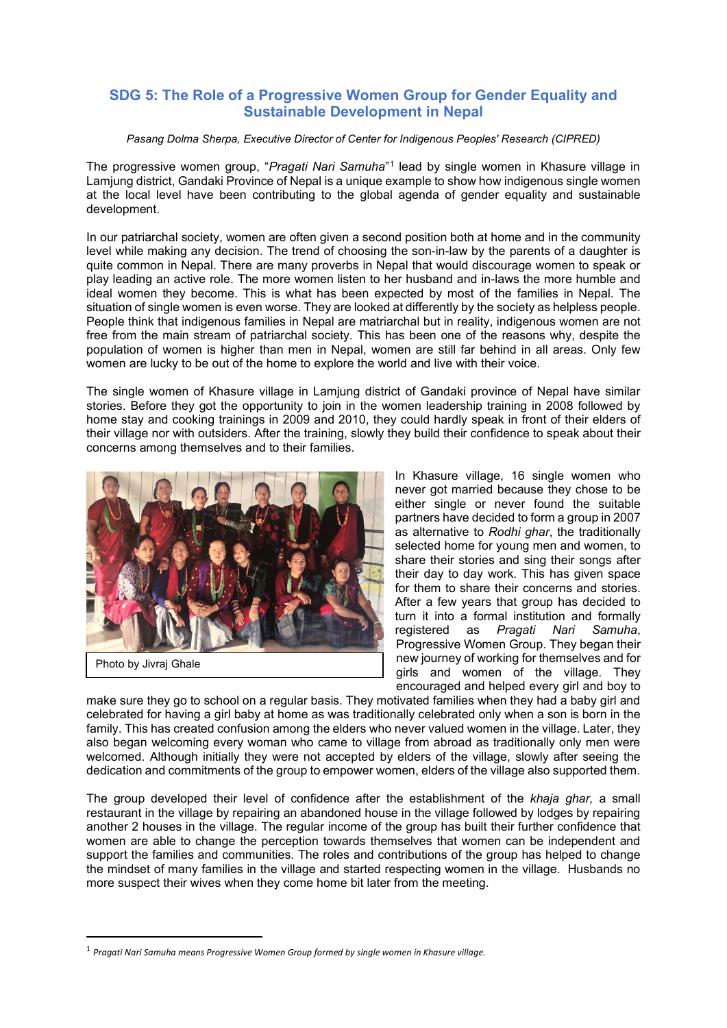## **SDG 5: The Role of a Progressive Women Group for Gender Equality and Sustainable Development in Nepal**

*Pasang Dolma Sherpa, Executive Director of Center for Indigenous Peoples' Research (CIPRED)*

The progressive women group, "*Pragati Nari Samuha*"[1](#page-0-0) lead by single women in Khasure village in Lamjung district, Gandaki Province of Nepal is a unique example to show how indigenous single women at the local level have been contributing to the global agenda of gender equality and sustainable development.

In our patriarchal society, women are often given a second position both at home and in the community level while making any decision. The trend of choosing the son-in-law by the parents of a daughter is quite common in Nepal. There are many proverbs in Nepal that would discourage women to speak or play leading an active role. The more women listen to her husband and in-laws the more humble and ideal women they become. This is what has been expected by most of the families in Nepal. The situation of single women is even worse. They are looked at differently by the society as helpless people. People think that indigenous families in Nepal are matriarchal but in reality, indigenous women are not free from the main stream of patriarchal society. This has been one of the reasons why, despite the population of women is higher than men in Nepal, women are still far behind in all areas. Only few women are lucky to be out of the home to explore the world and live with their voice.

The single women of Khasure village in Lamjung district of Gandaki province of Nepal have similar stories. Before they got the opportunity to join in the women leadership training in 2008 followed by home stay and cooking trainings in 2009 and 2010, they could hardly speak in front of their elders of their village nor with outsiders. After the training, slowly they build their confidence to speak about their concerns among themselves and to their families.



Photo by Jivraj Ghale

In Khasure village, 16 single women who never got married because they chose to be either single or never found the suitable partners have decided to form a group in 2007 as alternative to *Rodhi ghar*, the traditionally selected home for young men and women, to share their stories and sing their songs after their day to day work. This has given space for them to share their concerns and stories. After a few years that group has decided to turn it into a formal institution and formally registered as *Pragati Nari Samuha*, Progressive Women Group. They began their new journey of working for themselves and for girls and women of the village. They encouraged and helped every girl and boy to

make sure they go to school on a regular basis. They motivated families when they had a baby girl and celebrated for having a girl baby at home as was traditionally celebrated only when a son is born in the family. This has created confusion among the elders who never valued women in the village. Later, they also began welcoming every woman who came to village from abroad as traditionally only men were welcomed. Although initially they were not accepted by elders of the village, slowly after seeing the dedication and commitments of the group to empower women, elders of the village also supported them.

The group developed their level of confidence after the establishment of the *khaja ghar,* a small restaurant in the village by repairing an abandoned house in the village followed by lodges by repairing another 2 houses in the village. The regular income of the group has built their further confidence that women are able to change the perception towards themselves that women can be independent and support the families and communities. The roles and contributions of the group has helped to change the mindset of many families in the village and started respecting women in the village. Husbands no more suspect their wives when they come home bit later from the meeting.

<span id="page-0-0"></span><sup>1</sup> *Pragati Nari Samuha means Progressive Women Group formed by single women in Khasure village.*